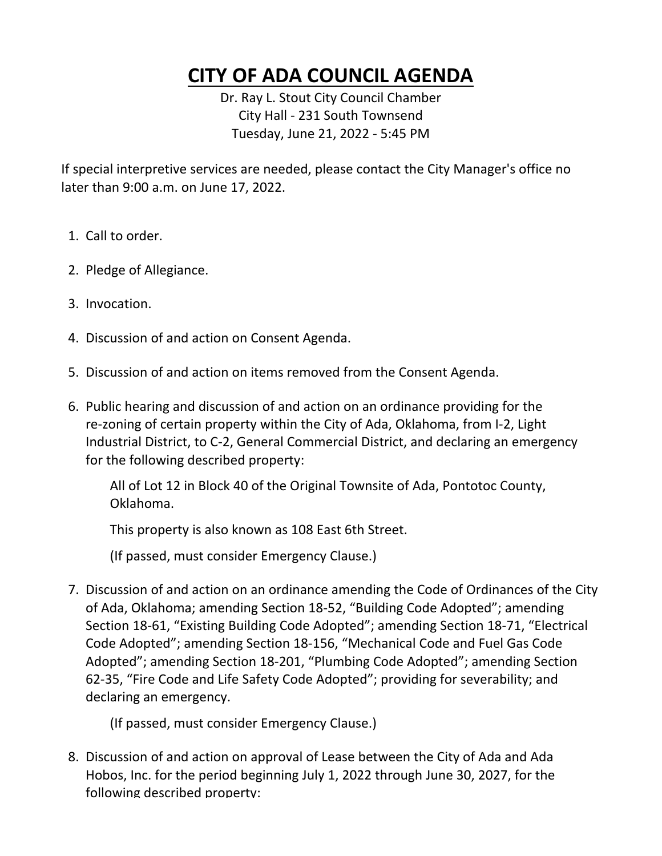## **CITY OF ADA COUNCIL AGENDA**

**Dr. Ray L. Stout City Council Chamber City Hall - 231 South Townsend Tuesday, June 21, 2022 - 5:45 PM**

**If special interpretive services are needed, please contact the City Manager's office no later than 9:00 a.m. on June 17, 2022.**

- **1. Call to order.**
- **2. Pledge of Allegiance.**
- **3. Invocation.**
- **4. Discussion of and action on Consent Agenda.**
- **5. Discussion of and action on items removed from the Consent Agenda.**
- **6. Public hearing and discussion of and action on an ordinance providing for the re-zoning of certain property within the City of Ada, Oklahoma, from I-2, Light Industrial District, to C-2, General Commercial District, and declaring an emergency for the following described property:**

**All of Lot 12 in Block 40 of the Original Townsite of Ada, Pontotoc County, Oklahoma.**

**This property is also known as 108 East 6th Street.**

**(If passed, must consider Emergency Clause.)**

**7. Discussion of and action on an ordinance amending the Code of Ordinances of the City of Ada, Oklahoma; amending Section 18-52, "Building Code Adopted"; amending Section 18-61, "Existing Building Code Adopted"; amending Section 18-71, "Electrical Code Adopted"; amending Section 18-156, "Mechanical Code and Fuel Gas Code Adopted"; amending Section 18-201, "Plumbing Code Adopted"; amending Section 62-35, "Fire Code and Life Safety Code Adopted"; providing for severability; and declaring an emergency.**

**(If passed, must consider Emergency Clause.)**

**8. Discussion of and action on approval of Lease between the City of Ada and Ada Hobos, Inc. for the period beginning July 1, 2022 through June 30, 2027, for the following described property:**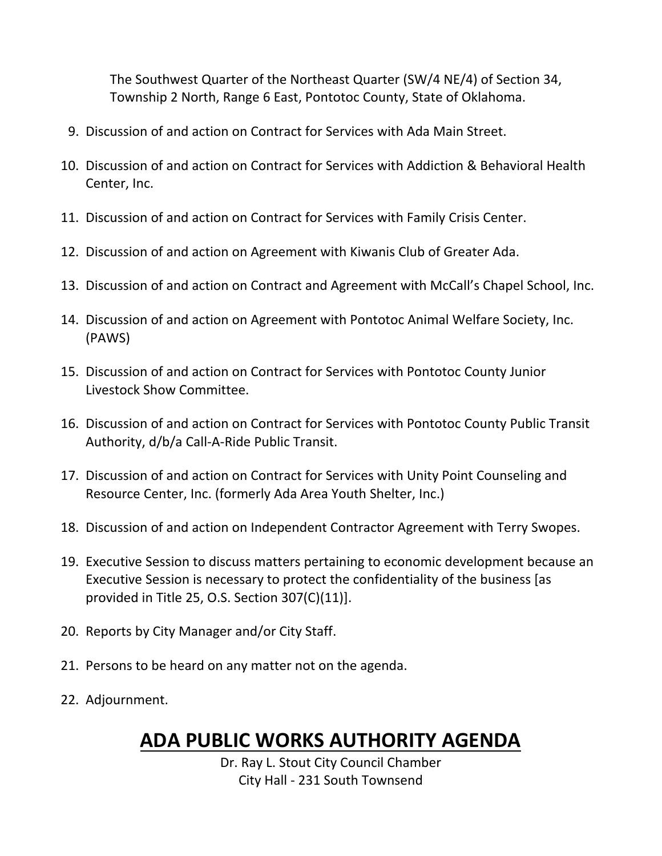**The Southwest Quarter of the Northeast Quarter (SW/4 NE/4) of Section 34, Township 2 North, Range 6 East, Pontotoc County, State of Oklahoma.**

- **9. Discussion of and action on Contract for Services with Ada Main Street.**
- **10. Discussion of and action on Contract for Services with Addiction & Behavioral Health Center, Inc.**
- **11. Discussion of and action on Contract for Services with Family Crisis Center.**
- **12. Discussion of and action on Agreement with Kiwanis Club of Greater Ada.**
- **13. Discussion of and action on Contract and Agreement with McCall's Chapel School, Inc.**
- **14. Discussion of and action on Agreement with Pontotoc Animal Welfare Society, Inc. (PAWS)**
- **15. Discussion of and action on Contract for Services with Pontotoc County Junior Livestock Show Committee.**
- **16. Discussion of and action on Contract for Services with Pontotoc County Public Transit Authority, d/b/a Call-A-Ride Public Transit.**
- **17. Discussion of and action on Contract for Services with Unity Point Counseling and Resource Center, Inc. (formerly Ada Area Youth Shelter, Inc.)**
- **18. Discussion of and action on Independent Contractor Agreement with Terry Swopes.**
- **19. Executive Session to discuss matters pertaining to economic development because an Executive Session is necessary to protect the confidentiality of the business [as provided in Title 25, O.S. Section 307(C)(11)].**
- **20. Reports by City Manager and/or City Staff.**
- **21. Persons to be heard on any matter not on the agenda.**
- **22. Adjournment.**

## **ADA PUBLIC WORKS AUTHORITY AGENDA**

**Dr. Ray L. Stout City Council Chamber City Hall - 231 South Townsend**